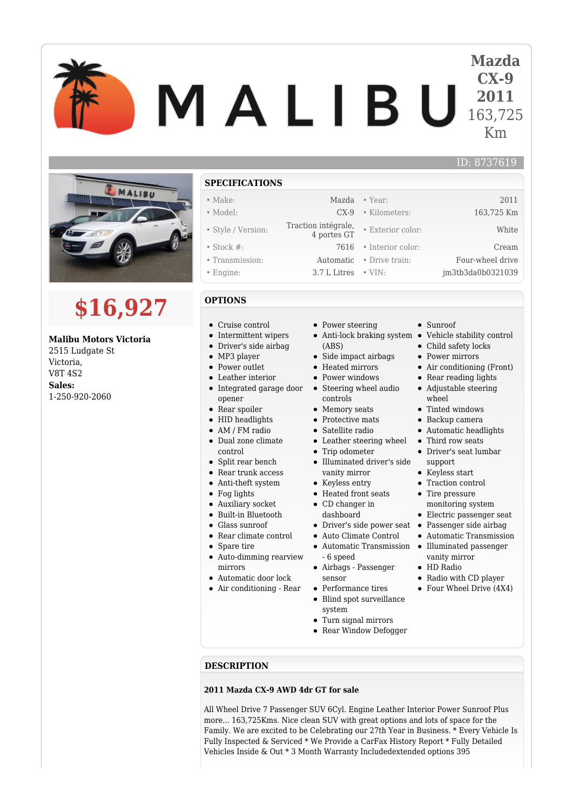# **Mazda CX-9** MALIBU **2011** 163,725 Km



# **\$16,927**

# **Malibu Motors Victoria**

2515 Ludgate St Victoria, V8T 4S2 **Sales:** 1-250-920-2060

## **SPECIFICATIONS**

- 
- 
- Style / Version: Traction intégrale,
- 
- 
- 

### **OPTIONS**

- Cruise control
- Intermittent wipers
- Driver's side airbag
- MP3 player
- Power outlet
- Leather interior
- Integrated garage door opener
- Rear spoiler
- HID headlights
- AM / FM radio
- Dual zone climate control
- $\bullet$
- Split rear bench • Rear trunk access
- Anti-theft system
- Fog lights
- Auxiliary socket
- Built-in Bluetooth
- $\bullet$ Glass sunroof
- Rear climate control
- Spare tire
- Auto-dimming rearview
- mirrors
- Automatic door lock
- Air conditioning Rear
- Power steering
- 
- (ABS)
- Side impact airbags • Heated mirrors
- Power windows
- Steering wheel audio
- controls
- Memory seats
- Protective mats
- Satellite radio
- Leather steering wheel
- Trip odometer
- Illuminated driver's side vanity mirror
- Keyless entry
- Heated front seats
- CD changer in dashboard
	-
- Auto Climate Control
- Automatic Transmission - 6 speed
- Airbags Passenger sensor
- Performance tires
- Blind spot surveillance system
- Turn signal mirrors
- Rear Window Defogger
- **DESCRIPTION**

#### **2011 Mazda CX-9 AWD 4dr GT for sale**

All Wheel Drive 7 Passenger SUV 6Cyl. Engine Leather Interior Power Sunroof Plus more... 163,725Kms. Nice clean SUV with great options and lots of space for the Family. We are excited to be Celebrating our 27th Year in Business. \* Every Vehicle Is Fully Inspected & Serviced \* We Provide a CarFax History Report \* Fully Detailed Vehicles Inside & Out \* 3 Month Warranty Includedextended options 395

- Make: Mazda Year: 2011 • Model: CX-9 • Kilometers: 163,725 Km 4 portes GT • Exterior color: White • Stock #: 7616 • Interior color: Cream • Transmission: Automatic • Drive train: Four-wheel drive • Engine: 3.7 L Litres • VIN: im3tb3da0b0321039
	- Sunroof
	- Anti-lock braking system Vehicle stability control

ID: 8737619

- Child safety locks
- Power mirrors
- Air conditioning (Front)
- Rear reading lights
- Adjustable steering wheel
- Tinted windows
- Backup camera
- Automatic headlights
- Third row seats
- Driver's seat lumbar support
- Keyless start
- Traction control
- Tire pressure
- monitoring system
- Electric passenger seat
- Driver's side power seat Passenger side airbag
	- Automatic Transmission
	- Illuminated passenger vanity mirror
	- HD Radio
	- Radio with CD player
	- Four Wheel Drive (4X4)